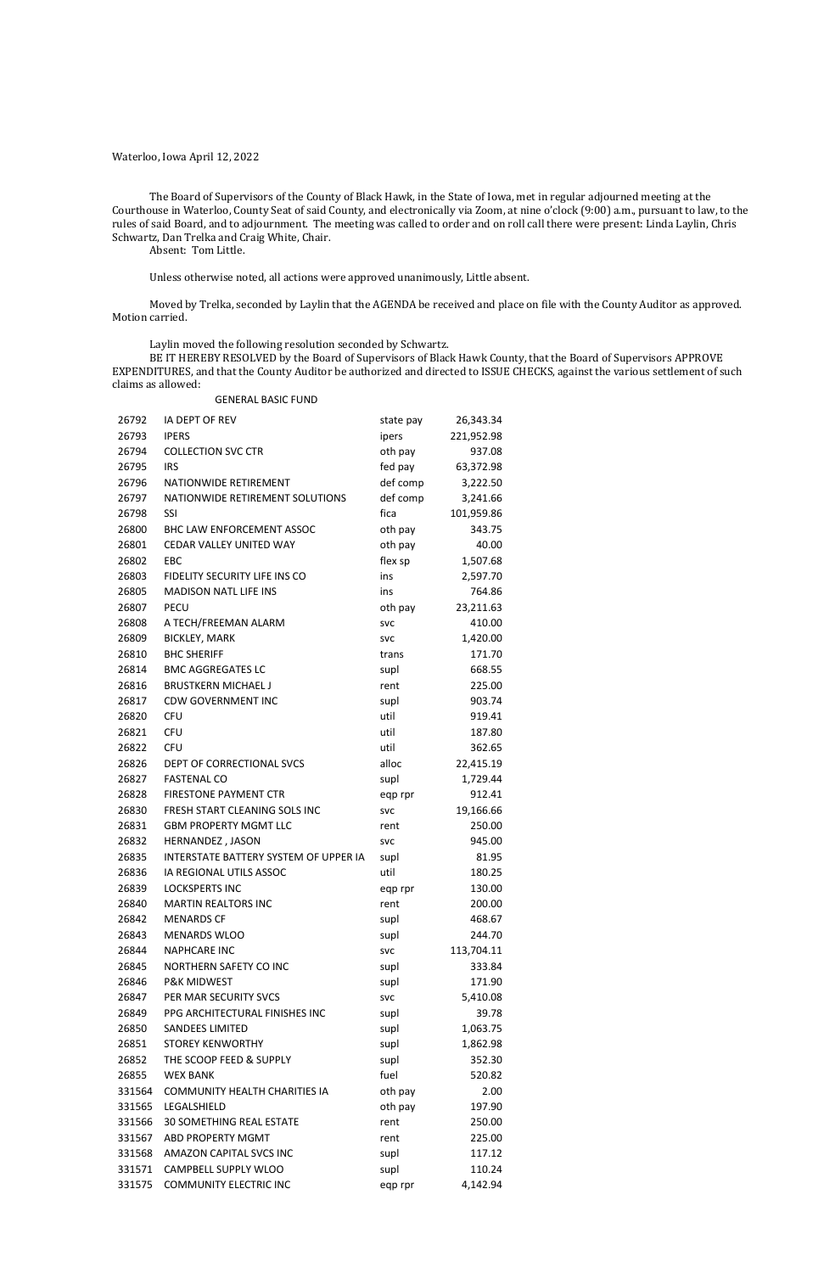Waterloo, Iowa April 12, 2022

The Board of Supervisors of the County of Black Hawk, in the State of Iowa, met in regular adjourned meeting at the Courthouse in Waterloo, County Seat of said County, and electronically via Zoom, at nine o'clock (9:00) a.m., pursuant to law, to the rules of said Board, and to adjournment. The meeting was called to order and on roll call there were present: Linda Laylin, Chris Schwartz, Dan Trelka and Craig White, Chair.

Absent: Tom Little.

Unless otherwise noted, all actions were approved unanimously, Little absent.

Moved by Trelka, seconded by Laylin that the AGENDA be received and place on file with the County Auditor as approved. Motion carried.

Laylin moved the following resolution seconded by Schwartz.

BE IT HEREBY RESOLVED by the Board of Supervisors of Black Hawk County, that the Board of Supervisors APPROVE EXPENDITURES, and that the County Auditor be authorized and directed to ISSUE CHECKS, against the various settlement of such claims as allowed:

#### GENERAL BASIC FUND

| 26792  | IA DEPT OF REV                        | state pay  | 26,343.34  |
|--------|---------------------------------------|------------|------------|
| 26793  | <b>IPERS</b>                          | ipers      | 221,952.98 |
| 26794  | <b>COLLECTION SVC CTR</b>             | oth pay    | 937.08     |
| 26795  | <b>IRS</b>                            | fed pay    | 63,372.98  |
| 26796  | NATIONWIDE RETIREMENT                 | def comp   | 3,222.50   |
| 26797  | NATIONWIDE RETIREMENT SOLUTIONS       | def comp   | 3,241.66   |
| 26798  | SSI                                   | fica       | 101,959.86 |
| 26800  | BHC LAW ENFORCEMENT ASSOC             | oth pay    | 343.75     |
| 26801  | CEDAR VALLEY UNITED WAY               | oth pay    | 40.00      |
| 26802  | EBC                                   | flex sp    | 1,507.68   |
| 26803  | FIDELITY SECURITY LIFE INS CO         | ins        | 2,597.70   |
| 26805  | <b>MADISON NATL LIFE INS</b>          | ins        | 764.86     |
| 26807  | <b>PECU</b>                           | oth pay    | 23,211.63  |
| 26808  | A TECH/FREEMAN ALARM                  | <b>SVC</b> | 410.00     |
| 26809  | <b>BICKLEY, MARK</b>                  | <b>SVC</b> | 1,420.00   |
| 26810  | <b>BHC SHERIFF</b>                    | trans      | 171.70     |
| 26814  | <b>BMC AGGREGATES LC</b>              | supl       | 668.55     |
| 26816  | <b>BRUSTKERN MICHAEL J</b>            | rent       | 225.00     |
| 26817  | <b>CDW GOVERNMENT INC</b>             | supl       | 903.74     |
| 26820  | <b>CFU</b>                            | util       | 919.41     |
| 26821  | <b>CFU</b>                            | util       | 187.80     |
| 26822  | <b>CFU</b>                            | util       | 362.65     |
| 26826  | DEPT OF CORRECTIONAL SVCS             | alloc      | 22,415.19  |
| 26827  | <b>FASTENAL CO</b>                    | supl       | 1,729.44   |
| 26828  | <b>FIRESTONE PAYMENT CTR</b>          | eqp rpr    | 912.41     |
| 26830  | FRESH START CLEANING SOLS INC         | <b>SVC</b> | 19,166.66  |
| 26831  | <b>GBM PROPERTY MGMT LLC</b>          | rent       | 250.00     |
| 26832  | HERNANDEZ, JASON                      | <b>SVC</b> | 945.00     |
| 26835  | INTERSTATE BATTERY SYSTEM OF UPPER IA | supl       | 81.95      |
| 26836  | IA REGIONAL UTILS ASSOC               | util       | 180.25     |
| 26839  | <b>LOCKSPERTS INC</b>                 | eqp rpr    | 130.00     |
| 26840  | <b>MARTIN REALTORS INC</b>            | rent       | 200.00     |
| 26842  | <b>MENARDS CF</b>                     | supl       | 468.67     |
| 26843  | <b>MENARDS WLOO</b>                   | supl       | 244.70     |
| 26844  | <b>NAPHCARE INC</b>                   | <b>SVC</b> | 113,704.11 |
| 26845  | NORTHERN SAFETY CO INC                | supl       | 333.84     |
| 26846  | <b>P&amp;K MIDWEST</b>                | supl       | 171.90     |
| 26847  | PER MAR SECURITY SVCS                 | <b>SVC</b> | 5,410.08   |
| 26849  | PPG ARCHITECTURAL FINISHES INC        | supl       | 39.78      |
| 26850  | <b>SANDEES LIMITED</b>                | supl       | 1,063.75   |
| 26851  | <b>STOREY KENWORTHY</b>               | supl       | 1,862.98   |
| 26852  | THE SCOOP FEED & SUPPLY               | supl       | 352.30     |
| 26855  | <b>WEX BANK</b>                       | fuel       | 520.82     |
| 331564 | COMMUNITY HEALTH CHARITIES IA         | oth pay    | 2.00       |
| 331565 | LEGALSHIELD                           | oth pay    | 197.90     |
| 331566 | <b>30 SOMETHING REAL ESTATE</b>       | rent       | 250.00     |
| 331567 | ABD PROPERTY MGMT                     | rent       | 225.00     |
| 331568 | AMAZON CAPITAL SVCS INC               | supl       | 117.12     |
| 331571 | CAMPBELL SUPPLY WLOO                  | supl       | 110.24     |
| 331575 | <b>COMMUNITY ELECTRIC INC</b>         | eqp rpr    | 4,142.94   |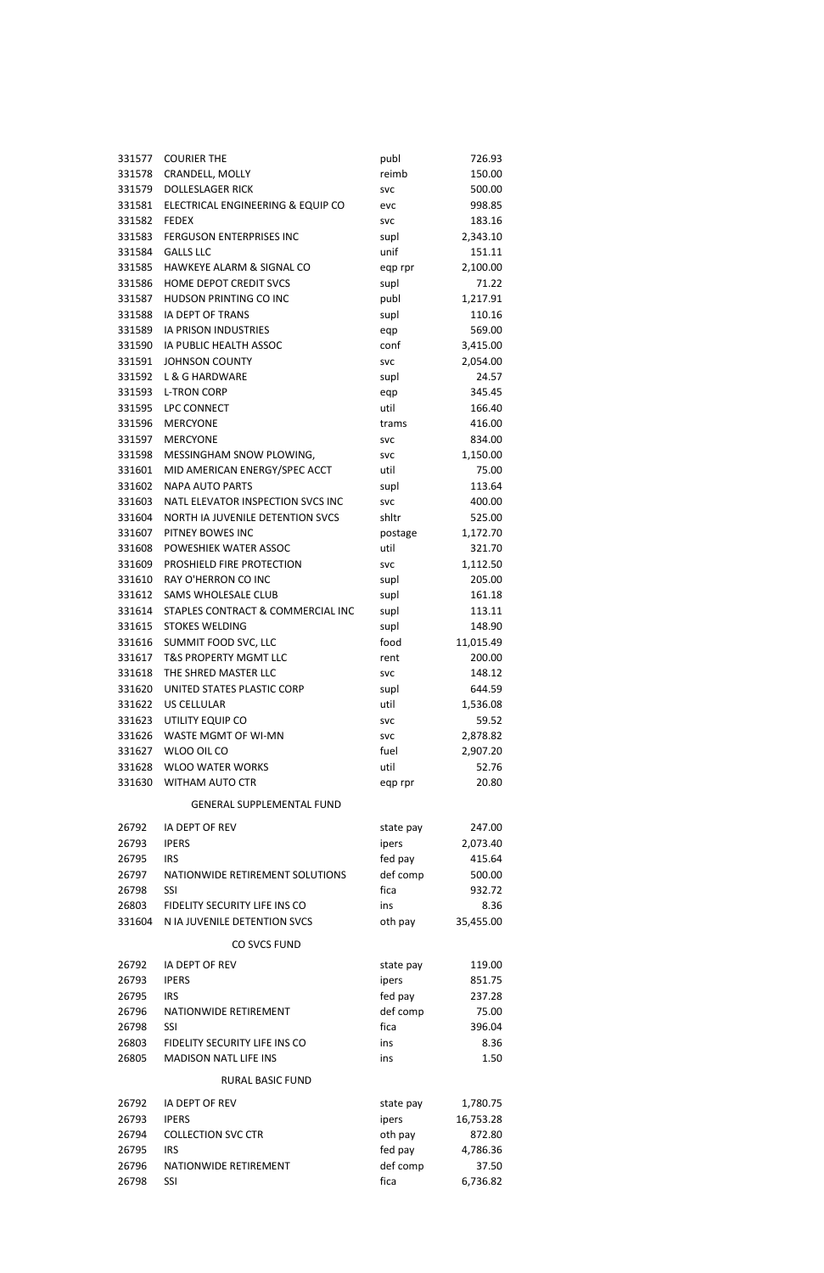| 331577 | <b>COURIER THE</b>                   | publ       | 726.93    |
|--------|--------------------------------------|------------|-----------|
| 331578 | CRANDELL, MOLLY                      | reimb      | 150.00    |
| 331579 | <b>DOLLESLAGER RICK</b>              | <b>SVC</b> | 500.00    |
| 331581 | ELECTRICAL ENGINEERING & EQUIP CO    | evc        | 998.85    |
| 331582 | <b>FEDEX</b>                         | <b>SVC</b> | 183.16    |
| 331583 | FERGUSON ENTERPRISES INC             | supl       | 2,343.10  |
| 331584 | <b>GALLS LLC</b>                     | unif       | 151.11    |
| 331585 | <b>HAWKEYE ALARM &amp; SIGNAL CO</b> | eqp rpr    | 2,100.00  |
| 331586 | HOME DEPOT CREDIT SVCS               | supl       | 71.22     |
| 331587 | HUDSON PRINTING CO INC               | publ       | 1,217.91  |
| 331588 | IA DEPT OF TRANS                     | supl       | 110.16    |
| 331589 | IA PRISON INDUSTRIES                 | eqp        | 569.00    |
| 331590 | IA PUBLIC HEALTH ASSOC               | conf       | 3,415.00  |
| 331591 | <b>JOHNSON COUNTY</b>                | <b>SVC</b> | 2,054.00  |
| 331592 | L & G HARDWARE                       | supl       | 24.57     |
| 331593 | <b>L-TRON CORP</b>                   | eqp        | 345.45    |
| 331595 | LPC CONNECT                          | util       | 166.40    |
| 331596 | <b>MERCYONE</b>                      | trams      | 416.00    |
| 331597 | <b>MERCYONE</b>                      | <b>SVC</b> | 834.00    |
| 331598 | MESSINGHAM SNOW PLOWING,             | <b>SVC</b> | 1,150.00  |
| 331601 | MID AMERICAN ENERGY/SPEC ACCT        | util       | 75.00     |
| 331602 | <b>NAPA AUTO PARTS</b>               | supl       | 113.64    |
| 331603 | NATL ELEVATOR INSPECTION SVCS INC    | <b>SVC</b> | 400.00    |
| 331604 | NORTH IA JUVENILE DETENTION SVCS     | shltr      | 525.00    |
| 331607 | PITNEY BOWES INC                     | postage    | 1,172.70  |
| 331608 | POWESHIEK WATER ASSOC                | util       | 321.70    |
| 331609 | PROSHIELD FIRE PROTECTION            | <b>SVC</b> | 1,112.50  |
| 331610 | RAY O'HERRON CO INC                  | supl       | 205.00    |
| 331612 | SAMS WHOLESALE CLUB                  | supl       | 161.18    |
| 331614 | STAPLES CONTRACT & COMMERCIAL INC    | supl       | 113.11    |
| 331615 | <b>STOKES WELDING</b>                | supl       | 148.90    |
| 331616 | SUMMIT FOOD SVC, LLC                 | food       | 11,015.49 |
| 331617 | T&S PROPERTY MGMT LLC                | rent       | 200.00    |
| 331618 | THE SHRED MASTER LLC                 | <b>SVC</b> | 148.12    |
| 331620 | UNITED STATES PLASTIC CORP           | supl       | 644.59    |
| 331622 | <b>US CELLULAR</b>                   | util       | 1,536.08  |
| 331623 | UTILITY EQUIP CO                     | <b>SVC</b> | 59.52     |
| 331626 | WASTE MGMT OF WI-MN                  | <b>SVC</b> | 2,878.82  |
| 331627 | WLOO OIL CO                          | fuel       | 2,907.20  |
| 331628 | <b>WLOO WATER WORKS</b>              | util       | 52.76     |
| 331630 | <b>WITHAM AUTO CTR</b>               | eqp rpr    | 20.80     |
|        | <b>GENERAL SUPPLEMENTAL FUND</b>     |            |           |
|        |                                      |            |           |
| 26792  | IA DEPT OF REV                       | state pay  | 247.00    |
| 26793  | <b>IPERS</b>                         | ipers      | 2,073.40  |
| 26795  | <b>IRS</b>                           | fed pay    | 415.64    |
| 26797  | NATIONWIDE RETIREMENT SOLUTIONS      | def comp   | 500.00    |
| 26798  | SSI                                  | fica       | 932.72    |
| 26803  | FIDELITY SECURITY LIFE INS CO        | ins        | 8.36      |
| 331604 | N IA JUVENILE DETENTION SVCS         | oth pay    | 35,455.00 |

# CO SVCS FUND

| 26792 | <b>IA DEPT OF REV</b>         | state pay | 119.00    |
|-------|-------------------------------|-----------|-----------|
| 26793 | <b>IPERS</b>                  | ipers     | 851.75    |
| 26795 | <b>IRS</b>                    | fed pay   | 237.28    |
| 26796 | NATIONWIDE RETIREMENT         | def comp  | 75.00     |
| 26798 | <b>SSI</b>                    | fica      | 396.04    |
| 26803 | FIDELITY SECURITY LIFE INS CO | ins       | 8.36      |
| 26805 | <b>MADISON NATL LIFE INS</b>  | ins       | 1.50      |
|       | <b>RURAL BASIC FUND</b>       |           |           |
| 26792 | <b>IA DEPT OF REV</b>         | state pay | 1,780.75  |
| 26793 | <b>IPERS</b>                  | ipers     | 16,753.28 |
| 26794 | <b>COLLECTION SVC CTR</b>     | oth pay   | 872.80    |
| 26795 | <b>IRS</b>                    | fed pay   | 4,786.36  |
| 26796 | NATIONWIDE RETIREMENT         | def comp  | 37.50     |
| 26798 | <b>SSI</b>                    | fica      | 6,736.82  |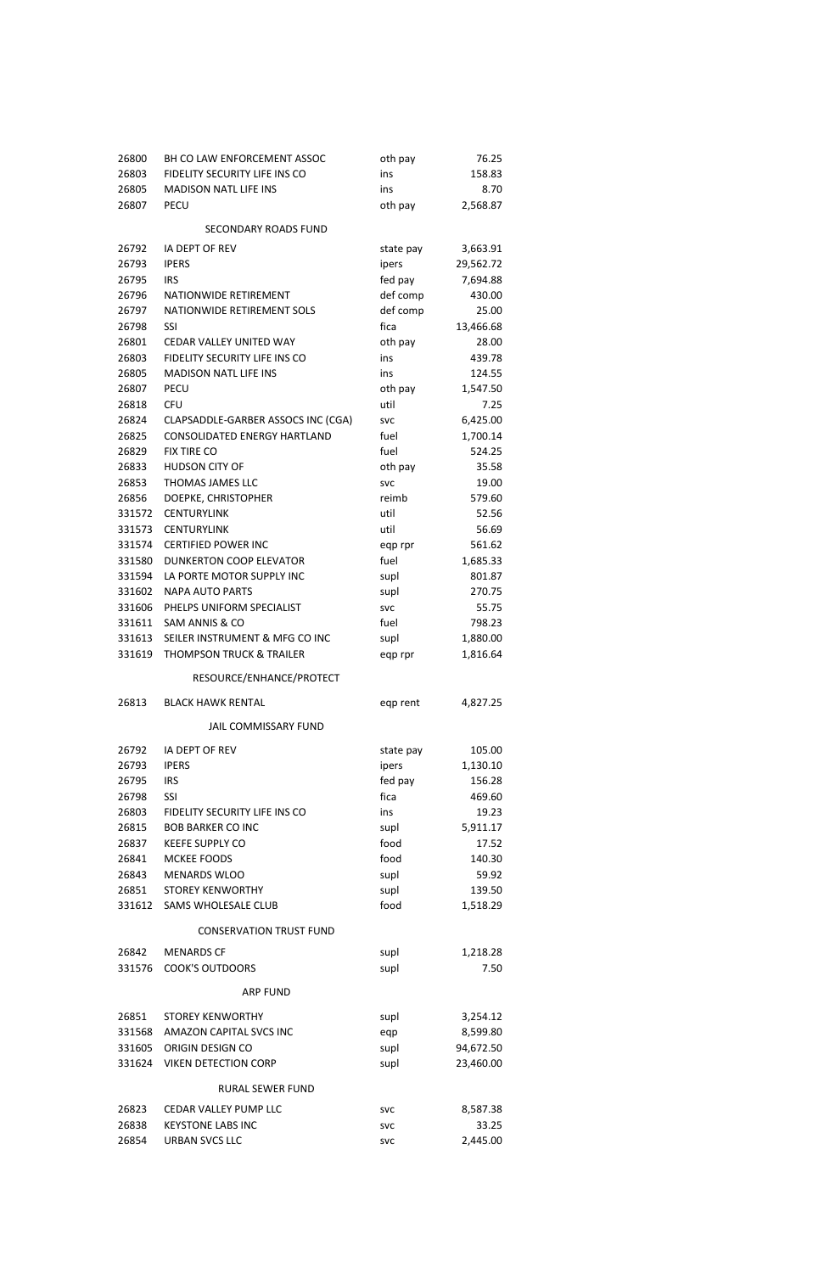| 26800  | BH CO LAW ENFORCEMENT ASSOC         | oth pay    | 76.25     |
|--------|-------------------------------------|------------|-----------|
| 26803  | FIDELITY SECURITY LIFE INS CO       | ins        | 158.83    |
| 26805  | <b>MADISON NATL LIFE INS</b>        | ins        | 8.70      |
| 26807  | <b>PECU</b>                         | oth pay    | 2,568.87  |
|        | <b>SECONDARY ROADS FUND</b>         |            |           |
| 26792  | IA DEPT OF REV                      | state pay  | 3,663.91  |
| 26793  | <b>IPERS</b>                        | ipers      | 29,562.72 |
| 26795  | <b>IRS</b>                          | fed pay    | 7,694.88  |
| 26796  | <b>NATIONWIDE RETIREMENT</b>        | def comp   | 430.00    |
| 26797  | NATIONWIDE RETIREMENT SOLS          | def comp   | 25.00     |
| 26798  | <b>SSI</b>                          | fica       | 13,466.68 |
| 26801  | CEDAR VALLEY UNITED WAY             | oth pay    | 28.00     |
| 26803  | FIDELITY SECURITY LIFE INS CO       | ins        | 439.78    |
| 26805  | <b>MADISON NATL LIFE INS</b>        | ins        | 124.55    |
| 26807  | <b>PECU</b>                         | oth pay    | 1,547.50  |
| 26818  | <b>CFU</b>                          | util       | 7.25      |
| 26824  | CLAPSADDLE-GARBER ASSOCS INC (CGA)  | <b>SVC</b> | 6,425.00  |
| 26825  | <b>CONSOLIDATED ENERGY HARTLAND</b> | fuel       | 1,700.14  |
| 26829  | <b>FIX TIRE CO</b>                  | fuel       | 524.25    |
| 26833  | <b>HUDSON CITY OF</b>               | oth pay    | 35.58     |
| 26853  | THOMAS JAMES LLC                    | <b>SVC</b> | 19.00     |
| 26856  | DOEPKE, CHRISTOPHER                 | reimb      | 579.60    |
| 331572 | <b>CENTURYLINK</b>                  | util       | 52.56     |
| 331573 | <b>CENTURYLINK</b>                  | util       | 56.69     |
| 331574 | <b>CERTIFIED POWER INC</b>          | eqp rpr    | 561.62    |
| 331580 | <b>DUNKERTON COOP ELEVATOR</b>      | fuel       | 1,685.33  |
| 331594 | LA PORTE MOTOR SUPPLY INC           | supl       | 801.87    |
| 331602 | <b>NAPA AUTO PARTS</b>              | supl       | 270.75    |
| 331606 | PHELPS UNIFORM SPECIALIST           | <b>SVC</b> | 55.75     |
| 331611 | SAM ANNIS & CO                      | fuel       | 798.23    |
| 331613 | SEILER INSTRUMENT & MFG CO INC      | supl       | 1,880.00  |
| 331619 | <b>THOMPSON TRUCK &amp; TRAILER</b> | eqp rpr    | 1,816.64  |
|        | RESOURCE/ENHANCE/PROTECT            |            |           |
| 26813  | <b>BLACK HAWK RENTAL</b>            | eqp rent   | 4,827.25  |
|        | <b>JAIL COMMISSARY FUND</b>         |            |           |
| 26792  | IA DEPT OF REV                      | state pay  | 105.00    |
| 26793  | <b>IPERS</b>                        | ipers      | 1,130.10  |
| 26795  | <b>IRS</b>                          | fed pay    | 156.28    |
| 26798  | <b>SSI</b>                          | fica       | 469.60    |
| 26803  | FIDELITY SECURITY LIFE INS CO       | ins        | 19.23     |
| 26815  | <b>BOB BARKER CO INC</b>            | supl       | 5,911.17  |
| 26837  | <b>KEEFE SUPPLY CO</b>              | food       | 17.52     |
| 26841  | MCKEE FOODS                         | food       | 140.30    |
| 26843  | <b>MENARDS WLOO</b>                 | supl       | 59.92     |
| 26851  | <b>STOREY KENWORTHY</b>             | supl       | 139.50    |
| 331612 | SAMS WHOLESALE CLUB                 | food       | 1,518.29  |

## CONSERVATION TRUST FUND

| 26842  | <b>MENARDS CF</b>           | supl       | 1,218.28  |
|--------|-----------------------------|------------|-----------|
| 331576 | <b>COOK'S OUTDOORS</b>      | supl       | 7.50      |
|        | <b>ARP FUND</b>             |            |           |
| 26851  | <b>STOREY KENWORTHY</b>     | supl       | 3,254.12  |
| 331568 | AMAZON CAPITAL SVCS INC     | eqp        | 8,599.80  |
| 331605 | ORIGIN DESIGN CO            | supl       | 94,672.50 |
| 331624 | <b>VIKEN DETECTION CORP</b> | supl       | 23,460.00 |
|        | RURAL SEWER FUND            |            |           |
| 26823  | CEDAR VALLEY PUMP LLC       | <b>SVC</b> | 8,587.38  |
| 26838  | <b>KEYSTONE LABS INC</b>    | <b>SVC</b> | 33.25     |
| 26854  | URBAN SVCS LLC              | <b>SVC</b> | 2,445.00  |
|        |                             |            |           |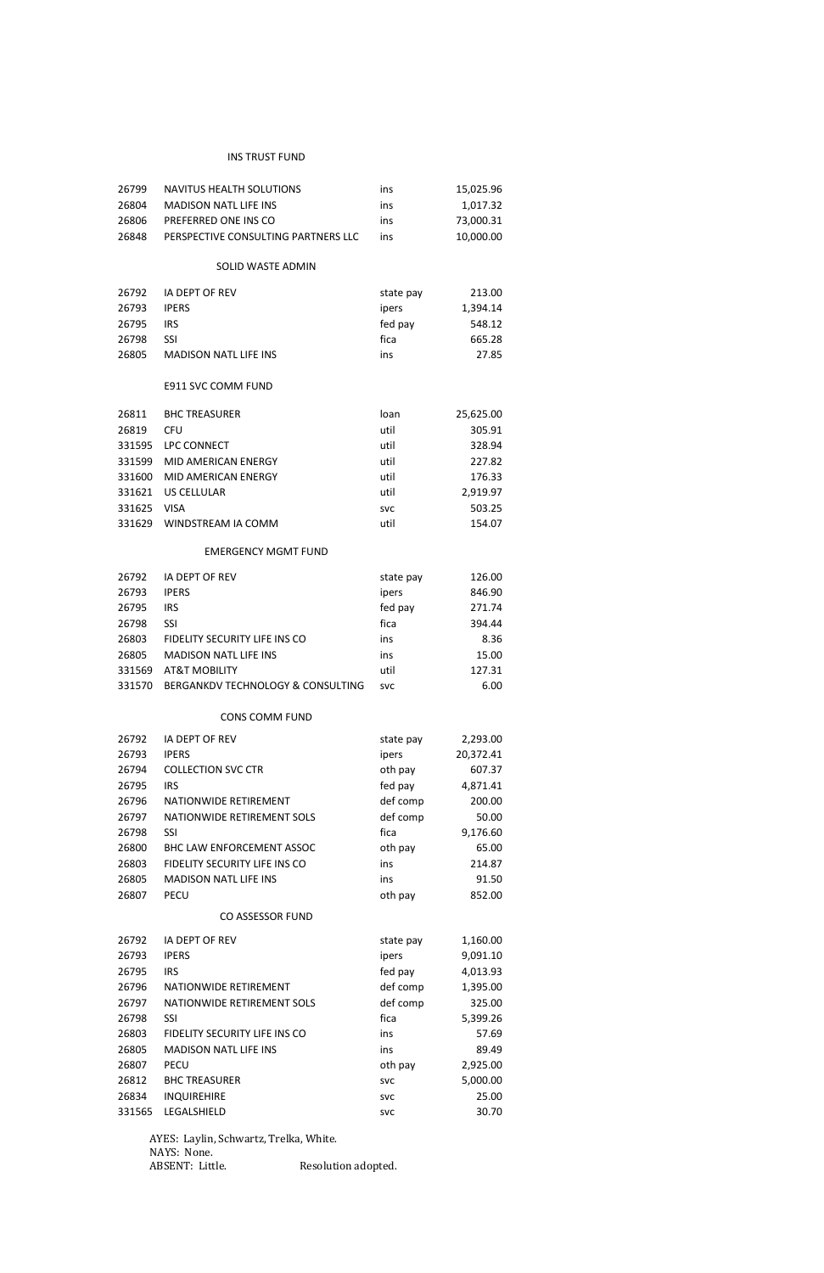## INS TRUST FUND

| 26799  | NAVITUS HEALTH SOLUTIONS            | ins        | 15,025.96 |
|--------|-------------------------------------|------------|-----------|
| 26804  | <b>MADISON NATL LIFE INS</b>        | ins        | 1,017.32  |
| 26806  | PREFERRED ONE INS CO                | ins        | 73,000.31 |
| 26848  | PERSPECTIVE CONSULTING PARTNERS LLC | ins        | 10,000.00 |
|        |                                     |            |           |
|        | SOLID WASTE ADMIN                   |            |           |
| 26792  | <b>IA DEPT OF REV</b>               | state pay  | 213.00    |
| 26793  | <b>IPERS</b>                        | ipers      | 1,394.14  |
| 26795  | <b>IRS</b>                          | fed pay    | 548.12    |
| 26798  | <b>SSI</b>                          | fica       | 665.28    |
| 26805  | <b>MADISON NATL LIFE INS</b>        | ins        | 27.85     |
|        | E911 SVC COMM FUND                  |            |           |
| 26811  | <b>BHC TREASURER</b>                | loan       | 25,625.00 |
| 26819  | <b>CFU</b>                          | util       | 305.91    |
| 331595 | LPC CONNECT                         | util       | 328.94    |
| 331599 | <b>MID AMERICAN ENERGY</b>          | util       | 227.82    |
| 331600 | MID AMERICAN ENERGY                 | util       | 176.33    |
| 331621 | <b>US CELLULAR</b>                  | util       | 2,919.97  |
| 331625 | <b>VISA</b>                         | <b>SVC</b> | 503.25    |
| 331629 | WINDSTREAM IA COMM                  | util       | 154.07    |
|        | <b>EMERGENCY MGMT FUND</b>          |            |           |
| 26792  | IA DEPT OF REV                      | state pay  | 126.00    |
| 26793  | <b>IPERS</b>                        | ipers      | 846.90    |
| 26795  | <b>IRS</b>                          | fed pay    | 271.74    |
| 26798  | SSI                                 | fica       |           |
|        |                                     |            | 394.44    |
| 26803  | FIDELITY SECURITY LIFE INS CO       | ins        | 8.36      |
| 26805  | <b>MADISON NATL LIFE INS</b>        | ins        | 15.00     |
| 331569 | <b>AT&amp;T MOBILITY</b>            | util       | 127.31    |
| 331570 | BERGANKDV TECHNOLOGY & CONSULTING   | <b>SVC</b> | 6.00      |
|        | <b>CONS COMM FUND</b>               |            |           |
| 26792  | IA DEPT OF REV                      | state pay  | 2,293.00  |
| 26793  | <b>IPERS</b>                        | ipers      | 20,372.41 |
| 26794  | <b>COLLECTION SVC CTR</b>           | oth pay    | 607.37    |
| 26795  | <b>IRS</b>                          | fed pay    | 4,871.41  |
| 26796  | NATIONWIDE RETIREMENT               | def comp   | 200.00    |
| 26797  | NATIONWIDE RETIREMENT SOLS          | def comp   | 50.00     |
| 26798  | <b>SSI</b>                          | fica       | 9,176.60  |
| 26800  | BHC LAW ENFORCEMENT ASSOC           | oth pay    | 65.00     |
| 26803  | FIDELITY SECURITY LIFE INS CO       | ins        | 214.87    |
| 26805  | <b>MADISON NATL LIFE INS</b>        | ins        | 91.50     |

AYES: Laylin, Schwartz, Trelka, White. NAYS: None.<br>ABSENT: Little. Resolution adopted.

## CO ASSESSOR FUND

| 26792  | <b>IA DEPT OF REV</b>         | state pay  | 1,160.00 |
|--------|-------------------------------|------------|----------|
| 26793  | <b>IPERS</b>                  | ipers      | 9,091.10 |
| 26795  | <b>IRS</b>                    | fed pay    | 4,013.93 |
| 26796  | NATIONWIDE RETIREMENT         | def comp   | 1,395.00 |
| 26797  | NATIONWIDE RETIREMENT SOLS    | def comp   | 325.00   |
| 26798  | <b>SSI</b>                    | fica       | 5,399.26 |
| 26803  | FIDELITY SECURITY LIFE INS CO | ins        | 57.69    |
| 26805  | <b>MADISON NATL LIFE INS</b>  | ins        | 89.49    |
| 26807  | <b>PECU</b>                   | oth pay    | 2,925.00 |
| 26812  | <b>BHC TREASURER</b>          | <b>SVC</b> | 5,000.00 |
| 26834  | <b>INQUIREHIRE</b>            | <b>SVC</b> | 25.00    |
| 331565 | LEGALSHIELD                   | <b>SVC</b> | 30.70    |
|        |                               |            |          |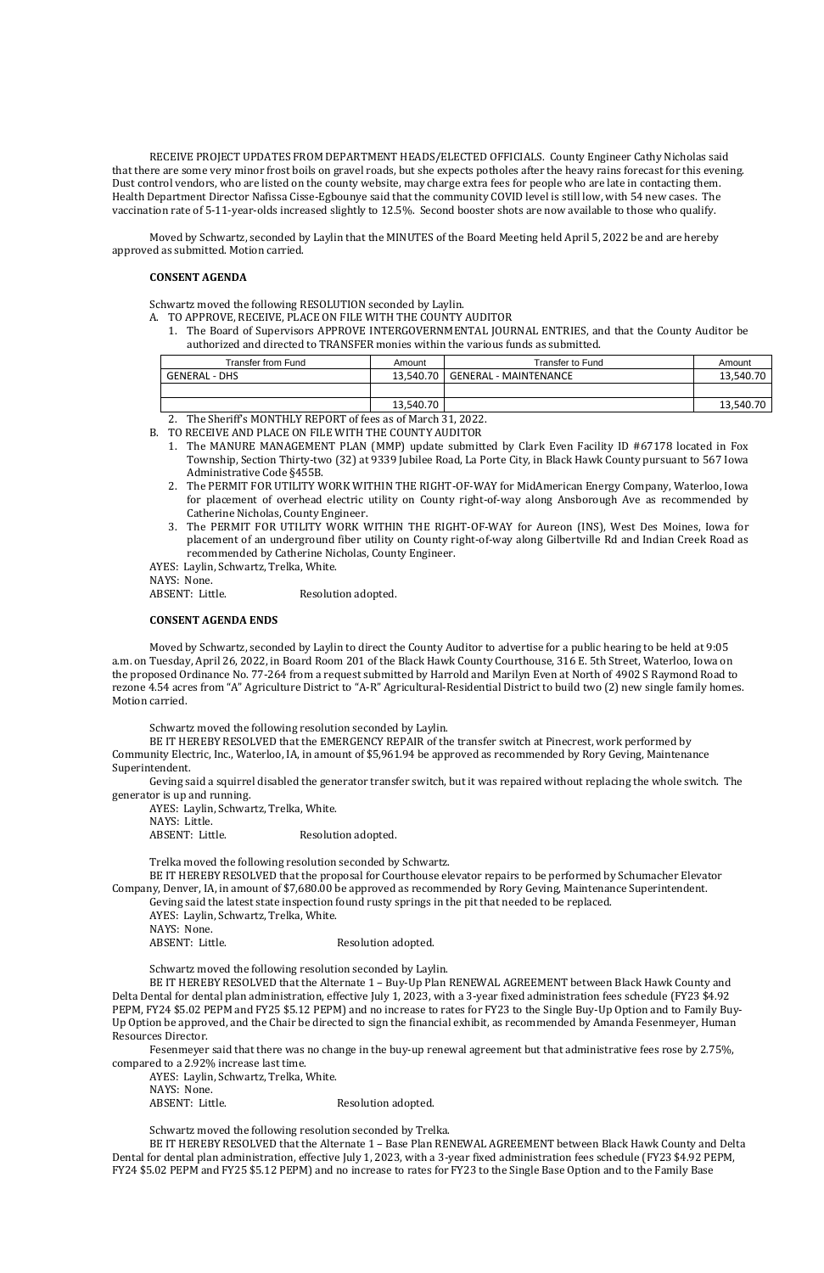RECEIVE PROJECT UPDATES FROM DEPARTMENT HEADS/ELECTED OFFICIALS. County Engineer Cathy Nicholas said that there are some very minor frost boils on gravel roads, but she expects potholes after the heavy rains forecast for this evening. Dust control vendors, who are listed on the county website, may charge extra fees for people who are late in contacting them. Health Department Director Nafissa Cisse-Egbounye said that the community COVID level is still low, with 54 new cases. The vaccination rate of 5-11-year-olds increased slightly to 12.5%. Second booster shots are now available to those who qualify.

Moved by Schwartz, seconded by Laylin that the MINUTES of the Board Meeting held April 5, 2022 be and are hereby approved as submitted. Motion carried.

#### **CONSENT AGENDA**

Schwartz moved the following RESOLUTION seconded by Laylin.

- A. TO APPROVE, RECEIVE, PLACE ON FILE WITH THE COUNTY AUDITOR
	- 1. The Board of Supervisors APPROVE INTERGOVERNMENTAL JOURNAL ENTRIES, and that the County Auditor be authorized and directed to TRANSFER monies within the various funds as submitted.

2. The Sheriff's MONTHLY REPORT of fees as of March 31, 2022.

B. TO RECEIVE AND PLACE ON FILE WITH THE COUNTY AUDITOR

AYES: Laylin, Schwartz, Trelka, White. NAYS: Little. ABSENT: Little. Resolution adopted.

- 1. The MANURE MANAGEMENT PLAN (MMP) update submitted by Clark Even Facility ID #67178 located in Fox Township, Section Thirty-two (32) at 9339 Jubilee Road, La Porte City, in Black Hawk County pursuant to 567 Iowa Administrative Code §455B.
- 2. The PERMIT FOR UTILITY WORK WITHIN THE RIGHT-OF-WAY for MidAmerican Energy Company, Waterloo, Iowa for placement of overhead electric utility on County right-of-way along Ansborough Ave as recommended by Catherine Nicholas, County Engineer.
- 3. The PERMIT FOR UTILITY WORK WITHIN THE RIGHT-OF-WAY for Aureon (INS), West Des Moines, Iowa for placement of an underground fiber utility on County right-of-way along Gilbertville Rd and Indian Creek Road as recommended by Catherine Nicholas, County Engineer.
- AYES: Laylin, Schwartz, Trelka, White.

NAYS: None.

ABSENT: Little. Resolution adopted.

#### **CONSENT AGENDA ENDS**

AYES: Laylin, Schwartz, Trelka, White. NAYS: None. ABSENT: Little. Resolution adopted.

Moved by Schwartz, seconded by Laylin to direct the County Auditor to advertise for a public hearing to be held at 9:05 a.m. on Tuesday, April 26, 2022, in Board Room 201 of the Black Hawk County Courthouse, 316 E. 5th Street, Waterloo, Iowa on the proposed Ordinance No. 77-264 from a request submitted by Harrold and Marilyn Even at North of 4902 S Raymond Road to rezone 4.54 acres from "A" Agriculture District to "A-R" Agricultural-Residential District to build two (2) new single family homes. Motion carried.

Schwartz moved the following resolution seconded by Laylin.

BE IT HEREBY RESOLVED that the EMERGENCY REPAIR of the transfer switch at Pinecrest, work performed by Community Electric, Inc., Waterloo, IA, in amount of \$5,961.94 be approved as recommended by Rory Geving, Maintenance Superintendent.

Geving said a squirrel disabled the generator transfer switch, but it was repaired without replacing the whole switch. The generator is up and running.

Trelka moved the following resolution seconded by Schwartz.

BE IT HEREBY RESOLVED that the proposal for Courthouse elevator repairs to be performed by Schumacher Elevator Company, Denver, IA, in amount of \$7,680.00 be approved as recommended by Rory Geving, Maintenance Superintendent.

Geving said the latest state inspection found rusty springs in the pit that needed to be replaced.

AYES: Laylin, Schwartz, Trelka, White.

NAYS: None.

ABSENT: Little. Resolution adopted.

Schwartz moved the following resolution seconded by Laylin.

BE IT HEREBY RESOLVED that the Alternate 1 – Buy-Up Plan RENEWAL AGREEMENT between Black Hawk County and Delta Dental for dental plan administration, effective July 1, 2023, with a 3-year fixed administration fees schedule (FY23 \$4.92 PEPM, FY24 \$5.02 PEPM and FY25 \$5.12 PEPM) and no increase to rates for FY23 to the Single Buy-Up Option and to Family Buy-Up Option be approved, and the Chair be directed to sign the financial exhibit, as recommended by Amanda Fesenmeyer, Human Resources Director.

Fesenmeyer said that there was no change in the buy-up renewal agreement but that administrative fees rose by 2.75%, compared to a 2.92% increase last time.

Schwartz moved the following resolution seconded by Trelka.

BE IT HEREBY RESOLVED that the Alternate 1 – Base Plan RENEWAL AGREEMENT between Black Hawk County and Delta Dental for dental plan administration, effective July 1, 2023, with a 3-year fixed administration fees schedule (FY23 \$4.92 PEPM, FY24 \$5.02 PEPM and FY25 \$5.12 PEPM) and no increase to rates for FY23 to the Single Base Option and to the Family Base

| Transfer from Fund   | Amount    | Transfer to Fund             | Amount    |
|----------------------|-----------|------------------------------|-----------|
| <b>GENERAL - DHS</b> | 13.540.70 | <b>GENERAL - MAINTENANCE</b> | 13,540.70 |
|                      |           |                              |           |
|                      | 13,540.70 |                              | 13,540.70 |